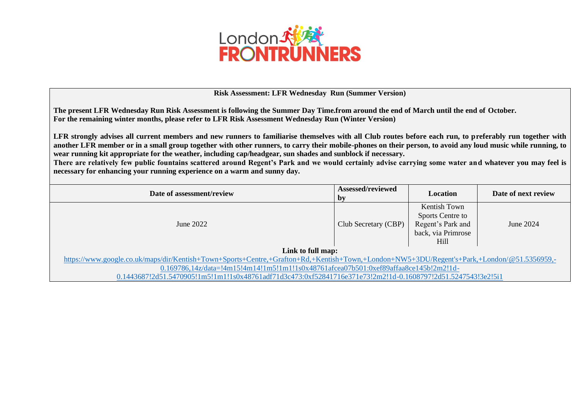

## **Risk Assessment: LFR Wednesday Run (Summer Version)**

**The present LFR Wednesday Run Risk Assessment is following the Summer Day Time.from around the end of March until the end of October. For the remaining winter months, please refer to LFR Risk Assessment Wednesday Run (Winter Version)** 

**LFR strongly advises all current members and new runners to familiarise themselves with all Club routes before each run, to preferably run together with another LFR member or in a small group together with other runners, to carry their mobile-phones on their person, to avoid any loud music while running, to wear running kit appropriate for the weather, including cap/headgear, sun shades and sunblock if necessary.**

**There are relatively few public fountains scattered around Regent's Park and we would certainly advise carrying some water and whatever you may feel is necessary for enhancing your running experience on a warm and sunny day.** 

| Date of assessment/review                                                                                                                  | Assessed/reviewed<br>$\mathbf{b}$ | <b>Location</b>                                                                     | Date of next review |  |  |
|--------------------------------------------------------------------------------------------------------------------------------------------|-----------------------------------|-------------------------------------------------------------------------------------|---------------------|--|--|
| June $2022$                                                                                                                                | Club Secretary (CBP)              | Kentish Town<br>Sports Centre to<br>Regent's Park and<br>back, via Primrose<br>Hill | June $2024$         |  |  |
| Link to full map:                                                                                                                          |                                   |                                                                                     |                     |  |  |
| https://www.google.co.uk/maps/dir/Kentish+Town+Sports+Centre,+Grafton+Rd,+Kentish+Town,+London+NW5+3DU/Regent's+Park,+London/@51.5356959,- |                                   |                                                                                     |                     |  |  |
| 0.169786,14z/data=!4m15!4m14!1m5!1m1!1s0x48761afcea07b501:0xef89affaa8ce145b!2m2!1d-                                                       |                                   |                                                                                     |                     |  |  |
| 0.1443687!2d51.5470905!1m5!1m1!1s0x48761adf71d3c473:0xf52841716e371e73!2m2!1d-0.1608797!2d51.5247543!3e2!5i1                               |                                   |                                                                                     |                     |  |  |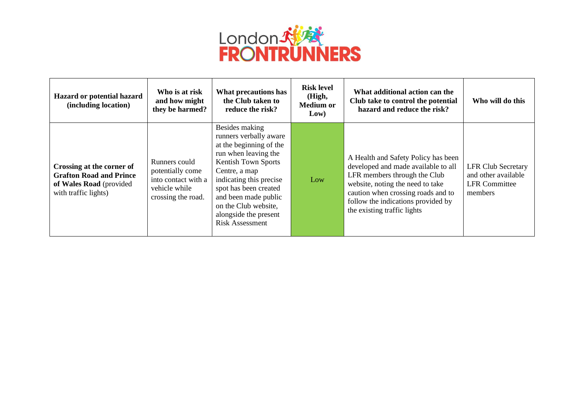

| Hazard or potential hazard<br>(including location)                                                             | Who is at risk<br>and how might<br>they be harmed?                                              | What precautions has<br>the Club taken to<br>reduce the risk?                                                                                                                                                                                                                                     | <b>Risk level</b><br>(High,<br>Medium or<br>Low) | What additional action can the<br>Club take to control the potential<br>hazard and reduce the risk?                                                                                                                                                       | Who will do this                                                                    |
|----------------------------------------------------------------------------------------------------------------|-------------------------------------------------------------------------------------------------|---------------------------------------------------------------------------------------------------------------------------------------------------------------------------------------------------------------------------------------------------------------------------------------------------|--------------------------------------------------|-----------------------------------------------------------------------------------------------------------------------------------------------------------------------------------------------------------------------------------------------------------|-------------------------------------------------------------------------------------|
| Crossing at the corner of<br><b>Grafton Road and Prince</b><br>of Wales Road (provided<br>with traffic lights) | Runners could<br>potentially come<br>into contact with a<br>vehicle while<br>crossing the road. | Besides making<br>runners verbally aware<br>at the beginning of the<br>run when leaving the<br><b>Kentish Town Sports</b><br>Centre, a map<br>indicating this precise<br>spot has been created<br>and been made public<br>on the Club website,<br>alongside the present<br><b>Risk Assessment</b> | Low                                              | A Health and Safety Policy has been<br>developed and made available to all<br>LFR members through the Club<br>website, noting the need to take<br>caution when crossing roads and to<br>follow the indications provided by<br>the existing traffic lights | <b>LFR Club Secretary</b><br>and other available<br><b>LFR</b> Committee<br>members |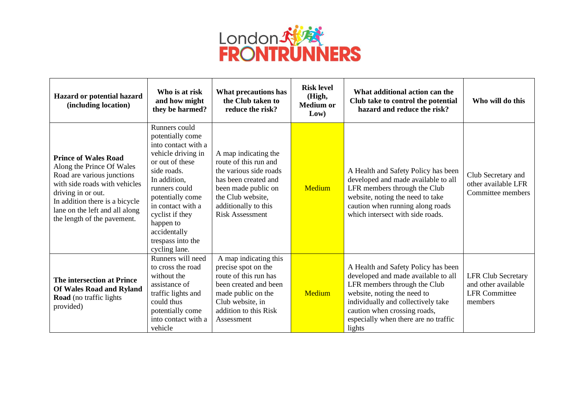

| Hazard or potential hazard<br>(including location)                                                                                                                                                                                               | Who is at risk<br>and how might<br>they be harmed?                                                                                                                                                                                                                               | What precautions has<br>the Club taken to<br>reduce the risk?                                                                                                                                 | <b>Risk level</b><br>(High,<br><b>Medium or</b><br>Low) | What additional action can the<br>Club take to control the potential<br>hazard and reduce the risk?                                                                                                                                                               | Who will do this                                                                    |
|--------------------------------------------------------------------------------------------------------------------------------------------------------------------------------------------------------------------------------------------------|----------------------------------------------------------------------------------------------------------------------------------------------------------------------------------------------------------------------------------------------------------------------------------|-----------------------------------------------------------------------------------------------------------------------------------------------------------------------------------------------|---------------------------------------------------------|-------------------------------------------------------------------------------------------------------------------------------------------------------------------------------------------------------------------------------------------------------------------|-------------------------------------------------------------------------------------|
| <b>Prince of Wales Road</b><br>Along the Prince Of Wales<br>Road are various junctions<br>with side roads with vehicles<br>driving in or out.<br>In addition there is a bicycle<br>lane on the left and all along<br>the length of the pavement. | Runners could<br>potentially come<br>into contact with a<br>vehicle driving in<br>or out of these<br>side roads.<br>In addition,<br>runners could<br>potentially come<br>in contact with a<br>cyclist if they<br>happen to<br>accidentally<br>trespass into the<br>cycling lane. | A map indicating the<br>route of this run and<br>the various side roads<br>has been created and<br>been made public on<br>the Club website,<br>additionally to this<br><b>Risk Assessment</b> | Medium                                                  | A Health and Safety Policy has been<br>developed and made available to all<br>LFR members through the Club<br>website, noting the need to take<br>caution when running along roads<br>which intersect with side roads.                                            | Club Secretary and<br>other available LFR<br>Committee members                      |
| The intersection at Prince<br>Of Wales Road and Ryland<br>Road (no traffic lights<br>provided)                                                                                                                                                   | Runners will need<br>to cross the road<br>without the<br>assistance of<br>traffic lights and<br>could thus<br>potentially come<br>into contact with a<br>vehicle                                                                                                                 | A map indicating this<br>precise spot on the<br>route of this run has<br>been created and been<br>made public on the<br>Club website, in<br>addition to this Risk<br>Assessment               | Medium                                                  | A Health and Safety Policy has been<br>developed and made available to all<br>LFR members through the Club<br>website, noting the need to<br>individually and collectively take<br>caution when crossing roads,<br>especially when there are no traffic<br>lights | <b>LFR Club Secretary</b><br>and other available<br><b>LFR</b> Committee<br>members |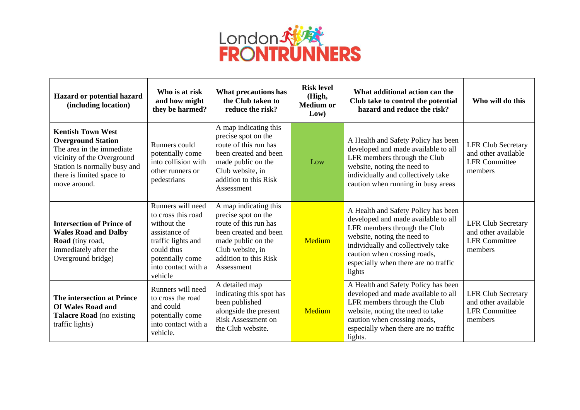

| Hazard or potential hazard<br>(including location)                                                                                                                                            | Who is at risk<br>and how might<br>they be harmed?                                                                                                                | What precautions has<br>the Club taken to<br>reduce the risk?                                                                                                                   | <b>Risk level</b><br>(High,<br><b>Medium or</b><br>Low) | What additional action can the<br>Club take to control the potential<br>hazard and reduce the risk?                                                                                                                                                               | Who will do this                                                                    |
|-----------------------------------------------------------------------------------------------------------------------------------------------------------------------------------------------|-------------------------------------------------------------------------------------------------------------------------------------------------------------------|---------------------------------------------------------------------------------------------------------------------------------------------------------------------------------|---------------------------------------------------------|-------------------------------------------------------------------------------------------------------------------------------------------------------------------------------------------------------------------------------------------------------------------|-------------------------------------------------------------------------------------|
| <b>Kentish Town West</b><br><b>Overground Station</b><br>The area in the immediate<br>vicinity of the Overground<br>Station is normally busy and<br>there is limited space to<br>move around. | Runners could<br>potentially come<br>into collision with<br>other runners or<br>pedestrians                                                                       | A map indicating this<br>precise spot on the<br>route of this run has<br>been created and been<br>made public on the<br>Club website, in<br>addition to this Risk<br>Assessment | Low                                                     | A Health and Safety Policy has been<br>developed and made available to all<br>LFR members through the Club<br>website, noting the need to<br>individually and collectively take<br>caution when running in busy areas                                             | <b>LFR Club Secretary</b><br>and other available<br><b>LFR Committee</b><br>members |
| <b>Intersection of Prince of</b><br><b>Wales Road and Dalby</b><br>Road (tiny road,<br>immediately after the<br>Overground bridge)                                                            | Runners will need<br>to cross this road<br>without the<br>assistance of<br>traffic lights and<br>could thus<br>potentially come<br>into contact with a<br>vehicle | A map indicating this<br>precise spot on the<br>route of this run has<br>been created and been<br>made public on the<br>Club website, in<br>addition to this Risk<br>Assessment | <b>Medium</b>                                           | A Health and Safety Policy has been<br>developed and made available to all<br>LFR members through the Club<br>website, noting the need to<br>individually and collectively take<br>caution when crossing roads,<br>especially when there are no traffic<br>lights | <b>LFR Club Secretary</b><br>and other available<br><b>LFR Committee</b><br>members |
| The intersection at Prince<br><b>Of Wales Road and</b><br><b>Talacre Road</b> (no existing<br>traffic lights)                                                                                 | Runners will need<br>to cross the road<br>and could<br>potentially come<br>into contact with a<br>vehicle.                                                        | A detailed map<br>indicating this spot has<br>been published<br>alongside the present<br><b>Risk Assessment on</b><br>the Club website.                                         | Medium                                                  | A Health and Safety Policy has been<br>developed and made available to all<br>LFR members through the Club<br>website, noting the need to take<br>caution when crossing roads,<br>especially when there are no traffic<br>lights.                                 | <b>LFR Club Secretary</b><br>and other available<br><b>LFR</b> Committee<br>members |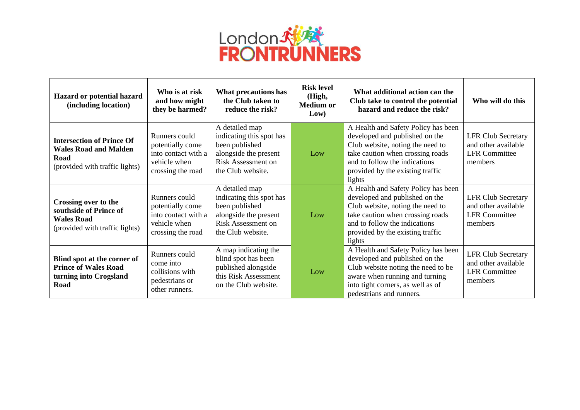

| Hazard or potential hazard<br>(including location)                                                         | Who is at risk<br>and how might<br>they be harmed?                                            | What precautions has<br>the Club taken to<br>reduce the risk?                                                                           | <b>Risk level</b><br>(High,<br><b>Medium or</b><br>Low) | What additional action can the<br>Club take to control the potential<br>hazard and reduce the risk?                                                                                                                          | Who will do this                                                                    |
|------------------------------------------------------------------------------------------------------------|-----------------------------------------------------------------------------------------------|-----------------------------------------------------------------------------------------------------------------------------------------|---------------------------------------------------------|------------------------------------------------------------------------------------------------------------------------------------------------------------------------------------------------------------------------------|-------------------------------------------------------------------------------------|
| <b>Intersection of Prince Of</b><br><b>Wales Road and Malden</b><br>Road<br>(provided with traffic lights) | Runners could<br>potentially come<br>into contact with a<br>vehicle when<br>crossing the road | A detailed map<br>indicating this spot has<br>been published<br>alongside the present<br><b>Risk Assessment on</b><br>the Club website. | Low                                                     | A Health and Safety Policy has been<br>developed and published on the<br>Club website, noting the need to<br>take caution when crossing roads<br>and to follow the indications<br>provided by the existing traffic<br>lights | <b>LFR Club Secretary</b><br>and other available<br><b>LFR</b> Committee<br>members |
| Crossing over to the<br>southside of Prince of<br><b>Wales Road</b><br>(provided with traffic lights)      | Runners could<br>potentially come<br>into contact with a<br>vehicle when<br>crossing the road | A detailed map<br>indicating this spot has<br>been published<br>alongside the present<br>Risk Assessment on<br>the Club website.        | Low                                                     | A Health and Safety Policy has been<br>developed and published on the<br>Club website, noting the need to<br>take caution when crossing roads<br>and to follow the indications<br>provided by the existing traffic<br>lights | <b>LFR Club Secretary</b><br>and other available<br><b>LFR</b> Committee<br>members |
| Blind spot at the corner of<br><b>Prince of Wales Road</b><br>turning into Crogsland<br>Road               | Runners could<br>come into<br>collisions with<br>pedestrians or<br>other runners.             | A map indicating the<br>blind spot has been<br>published alongside<br>this Risk Assessment<br>on the Club website.                      | Low                                                     | A Health and Safety Policy has been<br>developed and published on the<br>Club website noting the need to be<br>aware when running and turning<br>into tight corners, as well as of<br>pedestrians and runners.               | <b>LFR Club Secretary</b><br>and other available<br><b>LFR</b> Committee<br>members |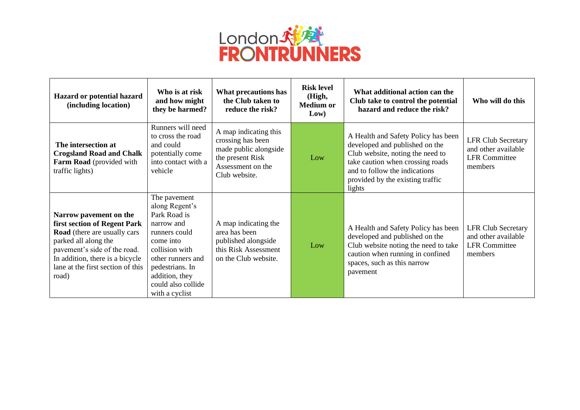

| Hazard or potential hazard<br>(including location)                                                                                                                                                                                            | Who is at risk<br>and how might<br>they be harmed?                                                                                                                                                             | What precautions has<br>the Club taken to<br>reduce the risk?                                                                 | <b>Risk level</b><br>(High,<br><b>Medium or</b><br>Low) | What additional action can the<br>Club take to control the potential<br>hazard and reduce the risk?                                                                                                                          | Who will do this                                                                    |
|-----------------------------------------------------------------------------------------------------------------------------------------------------------------------------------------------------------------------------------------------|----------------------------------------------------------------------------------------------------------------------------------------------------------------------------------------------------------------|-------------------------------------------------------------------------------------------------------------------------------|---------------------------------------------------------|------------------------------------------------------------------------------------------------------------------------------------------------------------------------------------------------------------------------------|-------------------------------------------------------------------------------------|
| The intersection at<br><b>Crogsland Road and Chalk</b><br>Farm Road (provided with<br>traffic lights)                                                                                                                                         | Runners will need<br>to cross the road<br>and could<br>potentially come<br>into contact with a<br>vehicle                                                                                                      | A map indicating this<br>crossing has been<br>made public alongside<br>the present Risk<br>Assessment on the<br>Club website. | Low                                                     | A Health and Safety Policy has been<br>developed and published on the<br>Club website, noting the need to<br>take caution when crossing roads<br>and to follow the indications<br>provided by the existing traffic<br>lights | <b>LFR Club Secretary</b><br>and other available<br><b>LFR</b> Committee<br>members |
| Narrow pavement on the<br><b>first section of Regent Park</b><br><b>Road</b> (there are usually cars<br>parked all along the<br>pavement's side of the road.<br>In addition, there is a bicycle<br>lane at the first section of this<br>road) | The pavement<br>along Regent's<br>Park Road is<br>narrow and<br>runners could<br>come into<br>collision with<br>other runners and<br>pedestrians. In<br>addition, they<br>could also collide<br>with a cyclist | A map indicating the<br>area has been<br>published alongside<br>this Risk Assessment<br>on the Club website.                  | Low                                                     | A Health and Safety Policy has been<br>developed and published on the<br>Club website noting the need to take<br>caution when running in confined<br>spaces, such as this narrow<br>pavement                                 | <b>LFR Club Secretary</b><br>and other available<br><b>LFR</b> Committee<br>members |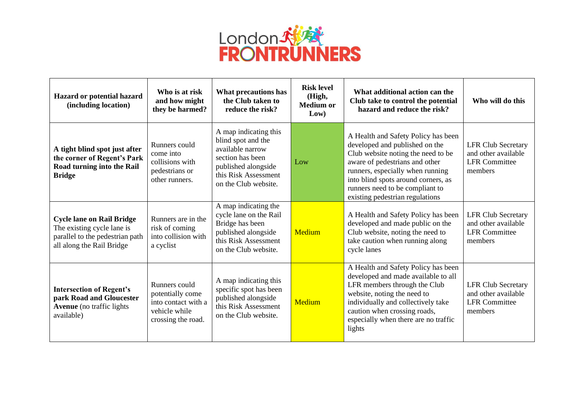

| Hazard or potential hazard<br>(including location)                                                                             | Who is at risk<br>and how might<br>they be harmed?                                              | What precautions has<br>the Club taken to<br>reduce the risk?                                                                                              | <b>Risk level</b><br>(High,<br><b>Medium or</b><br>Low) | What additional action can the<br>Club take to control the potential<br>hazard and reduce the risk?                                                                                                                                                                                            | Who will do this                                                                    |
|--------------------------------------------------------------------------------------------------------------------------------|-------------------------------------------------------------------------------------------------|------------------------------------------------------------------------------------------------------------------------------------------------------------|---------------------------------------------------------|------------------------------------------------------------------------------------------------------------------------------------------------------------------------------------------------------------------------------------------------------------------------------------------------|-------------------------------------------------------------------------------------|
| A tight blind spot just after<br>the corner of Regent's Park<br>Road turning into the Rail<br><b>Bridge</b>                    | Runners could<br>come into<br>collisions with<br>pedestrians or<br>other runners.               | A map indicating this<br>blind spot and the<br>available narrow<br>section has been<br>published alongside<br>this Risk Assessment<br>on the Club website. | Low                                                     | A Health and Safety Policy has been<br>developed and published on the<br>Club website noting the need to be<br>aware of pedestrians and other<br>runners, especially when running<br>into blind spots around corners, as<br>runners need to be compliant to<br>existing pedestrian regulations | <b>LFR Club Secretary</b><br>and other available<br><b>LFR</b> Committee<br>members |
| <b>Cycle lane on Rail Bridge</b><br>The existing cycle lane is<br>parallel to the pedestrian path<br>all along the Rail Bridge | Runners are in the<br>risk of coming<br>into collision with<br>a cyclist                        | A map indicating the<br>cycle lane on the Rail<br>Bridge has been<br>published alongside<br>this Risk Assessment<br>on the Club website.                   | Medium                                                  | A Health and Safety Policy has been<br>developed and made public on the<br>Club website, noting the need to<br>take caution when running along<br>cycle lanes                                                                                                                                  | <b>LFR Club Secretary</b><br>and other available<br><b>LFR</b> Committee<br>members |
| <b>Intersection of Regent's</b><br>park Road and Gloucester<br><b>Avenue</b> (no traffic lights<br>available)                  | Runners could<br>potentially come<br>into contact with a<br>vehicle while<br>crossing the road. | A map indicating this<br>specific spot has been<br>published alongside<br>this Risk Assessment<br>on the Club website.                                     | Medium                                                  | A Health and Safety Policy has been<br>developed and made available to all<br>LFR members through the Club<br>website, noting the need to<br>individually and collectively take<br>caution when crossing roads,<br>especially when there are no traffic<br>lights                              | <b>LFR Club Secretary</b><br>and other available<br><b>LFR</b> Committee<br>members |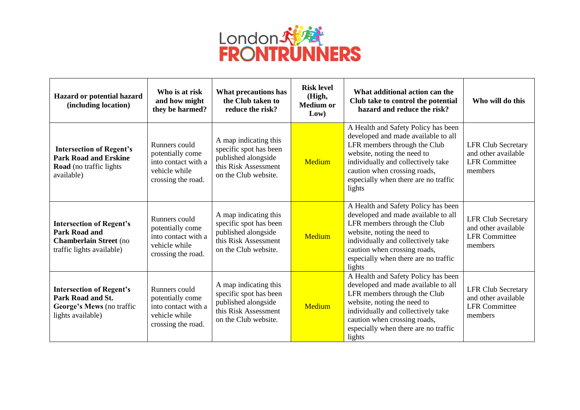

| Hazard or potential hazard<br>(including location)                                                                    | Who is at risk<br>and how might<br>they be harmed?                                              | What precautions has<br>the Club taken to<br>reduce the risk?                                                          | <b>Risk level</b><br>(High,<br><b>Medium or</b><br>Low) | What additional action can the<br>Club take to control the potential<br>hazard and reduce the risk?                                                                                                                                                               | Who will do this                                                                    |
|-----------------------------------------------------------------------------------------------------------------------|-------------------------------------------------------------------------------------------------|------------------------------------------------------------------------------------------------------------------------|---------------------------------------------------------|-------------------------------------------------------------------------------------------------------------------------------------------------------------------------------------------------------------------------------------------------------------------|-------------------------------------------------------------------------------------|
| <b>Intersection of Regent's</b><br><b>Park Road and Erskine</b><br><b>Road</b> (no traffic lights<br>available)       | Runners could<br>potentially come<br>into contact with a<br>vehicle while<br>crossing the road. | A map indicating this<br>specific spot has been<br>published alongside<br>this Risk Assessment<br>on the Club website. | Medium                                                  | A Health and Safety Policy has been<br>developed and made available to all<br>LFR members through the Club<br>website, noting the need to<br>individually and collectively take<br>caution when crossing roads,<br>especially when there are no traffic<br>lights | <b>LFR Club Secretary</b><br>and other available<br><b>LFR</b> Committee<br>members |
| <b>Intersection of Regent's</b><br><b>Park Road and</b><br><b>Chamberlain Street</b> (no<br>traffic lights available) | Runners could<br>potentially come<br>into contact with a<br>vehicle while<br>crossing the road. | A map indicating this<br>specific spot has been<br>published alongside<br>this Risk Assessment<br>on the Club website. | Medium                                                  | A Health and Safety Policy has been<br>developed and made available to all<br>LFR members through the Club<br>website, noting the need to<br>individually and collectively take<br>caution when crossing roads,<br>especially when there are no traffic<br>lights | <b>LFR Club Secretary</b><br>and other available<br><b>LFR</b> Committee<br>members |
| <b>Intersection of Regent's</b><br>Park Road and St.<br>George's Mews (no traffic<br>lights available)                | Runners could<br>potentially come<br>into contact with a<br>vehicle while<br>crossing the road. | A map indicating this<br>specific spot has been<br>published alongside<br>this Risk Assessment<br>on the Club website. | Medium                                                  | A Health and Safety Policy has been<br>developed and made available to all<br>LFR members through the Club<br>website, noting the need to<br>individually and collectively take<br>caution when crossing roads,<br>especially when there are no traffic<br>lights | <b>LFR Club Secretary</b><br>and other available<br><b>LFR</b> Committee<br>members |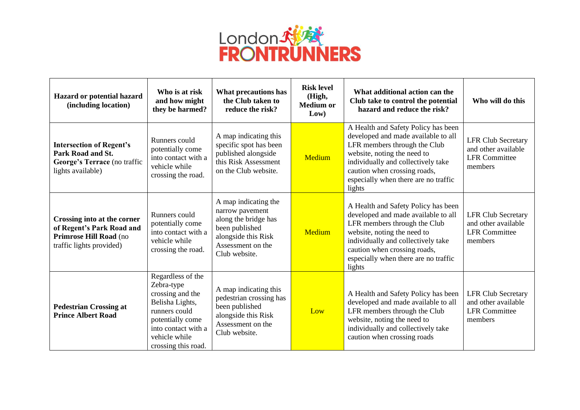

| Hazard or potential hazard<br>(including location)                                                             | Who is at risk<br>and how might<br>they be harmed?                                                                                                                         | What precautions has<br>the Club taken to<br>reduce the risk?                                                                                  | <b>Risk level</b><br>(High,<br><b>Medium or</b><br>Low) | What additional action can the<br>Club take to control the potential<br>hazard and reduce the risk?                                                                                                                                                               | Who will do this                                                                    |
|----------------------------------------------------------------------------------------------------------------|----------------------------------------------------------------------------------------------------------------------------------------------------------------------------|------------------------------------------------------------------------------------------------------------------------------------------------|---------------------------------------------------------|-------------------------------------------------------------------------------------------------------------------------------------------------------------------------------------------------------------------------------------------------------------------|-------------------------------------------------------------------------------------|
| <b>Intersection of Regent's</b><br>Park Road and St.<br>George's Terrace (no traffic<br>lights available)      | Runners could<br>potentially come<br>into contact with a<br>vehicle while<br>crossing the road.                                                                            | A map indicating this<br>specific spot has been<br>published alongside<br>this Risk Assessment<br>on the Club website.                         | Medium                                                  | A Health and Safety Policy has been<br>developed and made available to all<br>LFR members through the Club<br>website, noting the need to<br>individually and collectively take<br>caution when crossing roads,<br>especially when there are no traffic<br>lights | <b>LFR Club Secretary</b><br>and other available<br><b>LFR Committee</b><br>members |
| Crossing into at the corner<br>of Regent's Park Road and<br>Primrose Hill Road (no<br>traffic lights provided) | Runners could<br>potentially come<br>into contact with a<br>vehicle while<br>crossing the road.                                                                            | A map indicating the<br>narrow pavement<br>along the bridge has<br>been published<br>alongside this Risk<br>Assessment on the<br>Club website. | Medium                                                  | A Health and Safety Policy has been<br>developed and made available to all<br>LFR members through the Club<br>website, noting the need to<br>individually and collectively take<br>caution when crossing roads,<br>especially when there are no traffic<br>lights | <b>LFR Club Secretary</b><br>and other available<br><b>LFR</b> Committee<br>members |
| <b>Pedestrian Crossing at</b><br><b>Prince Albert Road</b>                                                     | Regardless of the<br>Zebra-type<br>crossing and the<br>Belisha Lights,<br>runners could<br>potentially come<br>into contact with a<br>vehicle while<br>crossing this road. | A map indicating this<br>pedestrian crossing has<br>been published<br>alongside this Risk<br>Assessment on the<br>Club website.                | Low                                                     | A Health and Safety Policy has been<br>developed and made available to all<br>LFR members through the Club<br>website, noting the need to<br>individually and collectively take<br>caution when crossing roads                                                    | <b>LFR Club Secretary</b><br>and other available<br><b>LFR</b> Committee<br>members |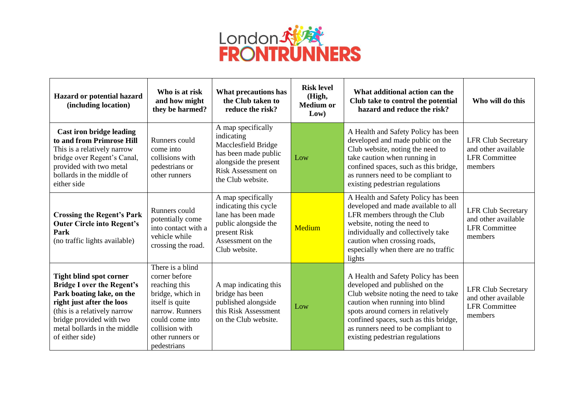

| Hazard or potential hazard<br>(including location)                                                                                                                                                                                           | Who is at risk<br>and how might<br>they be harmed?                                                                                                                                   | What precautions has<br>the Club taken to<br>reduce the risk?                                                                                       | <b>Risk level</b><br>(High,<br><b>Medium or</b><br>Low) | What additional action can the<br>Club take to control the potential<br>hazard and reduce the risk?                                                                                                                                                                                                      | Who will do this                                                                    |
|----------------------------------------------------------------------------------------------------------------------------------------------------------------------------------------------------------------------------------------------|--------------------------------------------------------------------------------------------------------------------------------------------------------------------------------------|-----------------------------------------------------------------------------------------------------------------------------------------------------|---------------------------------------------------------|----------------------------------------------------------------------------------------------------------------------------------------------------------------------------------------------------------------------------------------------------------------------------------------------------------|-------------------------------------------------------------------------------------|
| <b>Cast iron bridge leading</b><br>to and from Primrose Hill<br>This is a relatively narrow<br>bridge over Regent's Canal,<br>provided with two metal<br>bollards in the middle of<br>either side                                            | Runners could<br>come into<br>collisions with<br>pedestrians or<br>other runners                                                                                                     | A map specifically<br>indicating<br>Macclesfield Bridge<br>has been made public<br>alongside the present<br>Risk Assessment on<br>the Club website. | Low                                                     | A Health and Safety Policy has been<br>developed and made public on the<br>Club website, noting the need to<br>take caution when running in<br>confined spaces, such as this bridge,<br>as runners need to be compliant to<br>existing pedestrian regulations                                            | <b>LFR Club Secretary</b><br>and other available<br><b>LFR</b> Committee<br>members |
| <b>Crossing the Regent's Park</b><br><b>Outer Circle into Regent's</b><br>Park<br>(no traffic lights available)                                                                                                                              | Runners could<br>potentially come<br>into contact with a<br>vehicle while<br>crossing the road.                                                                                      | A map specifically<br>indicating this cycle<br>lane has been made<br>public alongside the<br>present Risk<br>Assessment on the<br>Club website.     | <b>Medium</b>                                           | A Health and Safety Policy has been<br>developed and made available to all<br>LFR members through the Club<br>website, noting the need to<br>individually and collectively take<br>caution when crossing roads,<br>especially when there are no traffic<br>lights                                        | <b>LFR Club Secretary</b><br>and other available<br><b>LFR</b> Committee<br>members |
| <b>Tight blind spot corner</b><br><b>Bridge I over the Regent's</b><br>Park boating lake, on the<br>right just after the loos<br>(this is a relatively narrow<br>bridge provided with two<br>metal bollards in the middle<br>of either side) | There is a blind<br>corner before<br>reaching this<br>bridge, which in<br>itself is quite<br>narrow. Runners<br>could come into<br>collision with<br>other runners or<br>pedestrians | A map indicating this<br>bridge has been<br>published alongside<br>this Risk Assessment<br>on the Club website.                                     | Low                                                     | A Health and Safety Policy has been<br>developed and published on the<br>Club website noting the need to take<br>caution when running into blind<br>spots around corners in relatively<br>confined spaces, such as this bridge,<br>as runners need to be compliant to<br>existing pedestrian regulations | <b>LFR Club Secretary</b><br>and other available<br><b>LFR</b> Committee<br>members |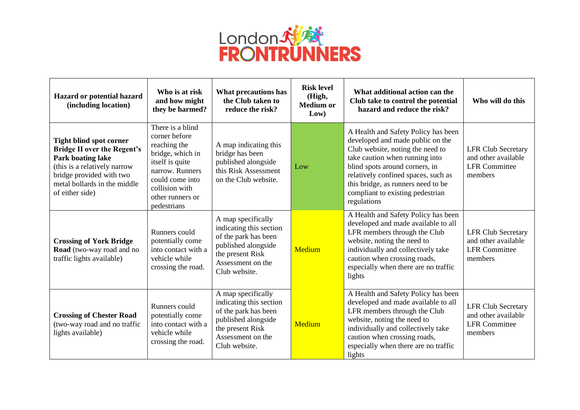

| Hazard or potential hazard<br>(including location)                                                                                                                                                       | Who is at risk<br>and how might<br>they be harmed?                                                                                                                                  | What precautions has<br>the Club taken to<br>reduce the risk?                                                                                          | <b>Risk level</b><br>(High,<br><b>Medium or</b><br>Low) | What additional action can the<br>Club take to control the potential<br>hazard and reduce the risk?                                                                                                                                                                                                             | Who will do this                                                                    |
|----------------------------------------------------------------------------------------------------------------------------------------------------------------------------------------------------------|-------------------------------------------------------------------------------------------------------------------------------------------------------------------------------------|--------------------------------------------------------------------------------------------------------------------------------------------------------|---------------------------------------------------------|-----------------------------------------------------------------------------------------------------------------------------------------------------------------------------------------------------------------------------------------------------------------------------------------------------------------|-------------------------------------------------------------------------------------|
| <b>Tight blind spot corner</b><br><b>Bridge II over the Regent's</b><br>Park boating lake<br>(this is a relatively narrow<br>bridge provided with two<br>metal bollards in the middle<br>of either side) | There is a blind<br>corner before<br>reaching the<br>bridge, which in<br>itself is quite<br>narrow. Runners<br>could come into<br>collision with<br>other runners or<br>pedestrians | A map indicating this<br>bridge has been<br>published alongside<br>this Risk Assessment<br>on the Club website.                                        | Low                                                     | A Health and Safety Policy has been<br>developed and made public on the<br>Club website, noting the need to<br>take caution when running into<br>blind spots around corners, in<br>relatively confined spaces, such as<br>this bridge, as runners need to be<br>compliant to existing pedestrian<br>regulations | <b>LFR Club Secretary</b><br>and other available<br><b>LFR</b> Committee<br>members |
| <b>Crossing of York Bridge</b><br>Road (two-way road and no<br>traffic lights available)                                                                                                                 | Runners could<br>potentially come<br>into contact with a<br>vehicle while<br>crossing the road.                                                                                     | A map specifically<br>indicating this section<br>of the park has been<br>published alongside<br>the present Risk<br>Assessment on the<br>Club website. | Medium                                                  | A Health and Safety Policy has been<br>developed and made available to all<br>LFR members through the Club<br>website, noting the need to<br>individually and collectively take<br>caution when crossing roads,<br>especially when there are no traffic<br>lights                                               | <b>LFR Club Secretary</b><br>and other available<br><b>LFR</b> Committee<br>members |
| <b>Crossing of Chester Road</b><br>(two-way road and no traffic<br>lights available)                                                                                                                     | Runners could<br>potentially come<br>into contact with a<br>vehicle while<br>crossing the road.                                                                                     | A map specifically<br>indicating this section<br>of the park has been<br>published alongside<br>the present Risk<br>Assessment on the<br>Club website. | <b>Medium</b>                                           | A Health and Safety Policy has been<br>developed and made available to all<br>LFR members through the Club<br>website, noting the need to<br>individually and collectively take<br>caution when crossing roads,<br>especially when there are no traffic<br>lights                                               | <b>LFR Club Secretary</b><br>and other available<br><b>LFR</b> Committee<br>members |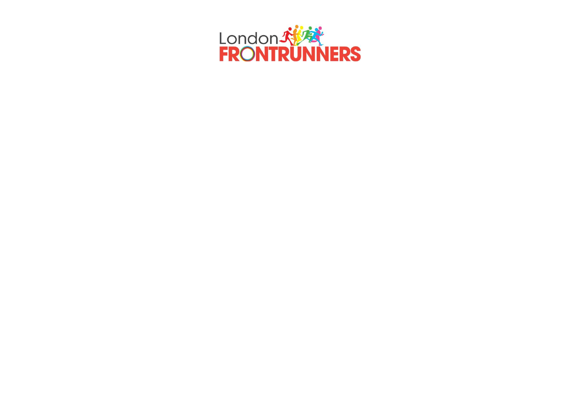